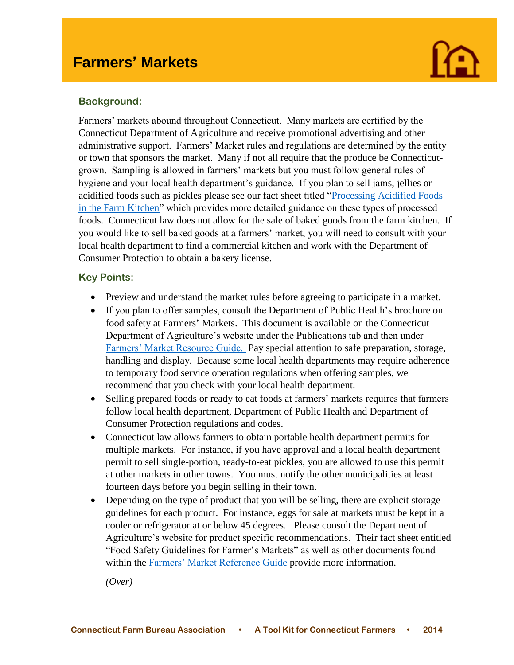

### **Background:**

I

Farmers' markets abound throughout Connecticut. Many markets are certified by the Connecticut Department of Agriculture and receive promotional advertising and other administrative support. Farmers' Market rules and regulations are determined by the entity or town that sponsors the market. Many if not all require that the produce be Connecticutgrown. Sampling is allowed in farmers' markets but you must follow general rules of hygiene and your local health department's guidance. If you plan to sell jams, jellies or acidified foods such as pickles please see our fact sheet titled ["Processing Acidified Foods](http://www.cfba.org/ctfarmbureauadvocacytoolkit.htm)  [in the Farm Kitchen"](http://www.cfba.org/ctfarmbureauadvocacytoolkit.htm) which provides more detailed guidance on these types of processed foods. Connecticut law does not allow for the sale of baked goods from the farm kitchen. If you would like to sell baked goods at a farmers' market, you will need to consult with your local health department to find a commercial kitchen and work with the Department of Consumer Protection to obtain a bakery license.

### **Key Points:**

- Preview and understand the market rules before agreeing to participate in a market.
- If you plan to offer samples, consult the Department of Public Health's brochure on food safety at Farmers' Markets. This document is available on the Connecticut Department of Agriculture's website under the Publications tab and then under [Farmers' Market Resource Guide.](http://www.ct.gov/doag/cwp/view.asp?a=3260&q=448674) Pay special attention to safe preparation, storage, handling and display. Because some local health departments may require adherence to temporary food service operation regulations when offering samples, we recommend that you check with your local health department.
- Selling prepared foods or ready to eat foods at farmers' markets requires that farmers follow local health department, Department of Public Health and Department of Consumer Protection regulations and codes.
- Connecticut law allows farmers to obtain portable health department permits for multiple markets. For instance, if you have approval and a local health department permit to sell single-portion, ready-to-eat pickles, you are allowed to use this permit at other markets in other towns. You must notify the other municipalities at least fourteen days before you begin selling in their town.
- Depending on the type of product that you will be selling, there are explicit storage guidelines for each product. For instance, eggs for sale at markets must be kept in a cooler or refrigerator at or below 45 degrees. Please consult the Department of Agriculture's website for product specific recommendations. Their fact sheet entitled "Food Safety Guidelines for Farmer's Markets" as well as other documents found within the [Farmers' Market Reference Guide](http://www.ct.gov/doag/cwp/view.asp?a=3260&q=448674) provide more information.

*(Over)*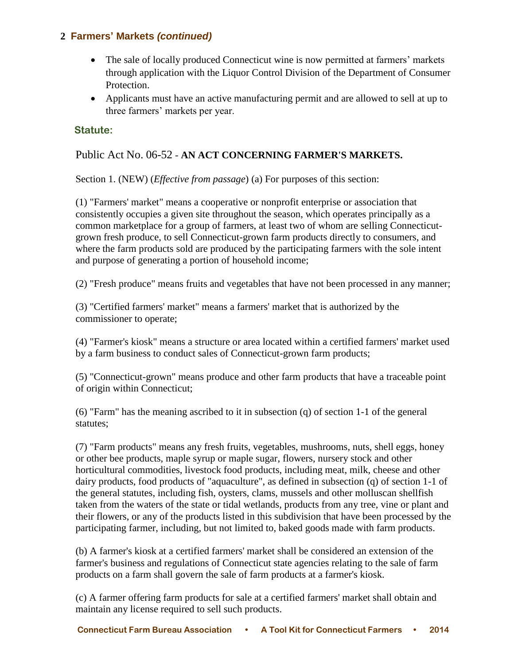## **2 Farmers' Markets** *(continued)*

- The sale of locally produced Connecticut wine is now permitted at farmers' markets through application with the Liquor Control Division of the Department of Consumer Protection.
- Applicants must have an active manufacturing permit and are allowed to sell at up to three farmers' markets per year.

### **Statute:**

## Public Act No. 06-52 - **AN ACT CONCERNING FARMER'S MARKETS.**

Section 1. (NEW) (*Effective from passage*) (a) For purposes of this section:

(1) "Farmers' market" means a cooperative or nonprofit enterprise or association that consistently occupies a given site throughout the season, which operates principally as a common marketplace for a group of farmers, at least two of whom are selling Connecticutgrown fresh produce, to sell Connecticut-grown farm products directly to consumers, and where the farm products sold are produced by the participating farmers with the sole intent and purpose of generating a portion of household income;

(2) "Fresh produce" means fruits and vegetables that have not been processed in any manner;

(3) "Certified farmers' market" means a farmers' market that is authorized by the commissioner to operate;

(4) "Farmer's kiosk" means a structure or area located within a certified farmers' market used by a farm business to conduct sales of Connecticut-grown farm products;

(5) "Connecticut-grown" means produce and other farm products that have a traceable point of origin within Connecticut;

(6) "Farm" has the meaning ascribed to it in subsection (q) of section 1-1 of the general statutes;

(7) "Farm products" means any fresh fruits, vegetables, mushrooms, nuts, shell eggs, honey or other bee products, maple syrup or maple sugar, flowers, nursery stock and other horticultural commodities, livestock food products, including meat, milk, cheese and other dairy products, food products of "aquaculture", as defined in subsection (q) of section 1-1 of the general statutes, including fish, oysters, clams, mussels and other molluscan shellfish taken from the waters of the state or tidal wetlands, products from any tree, vine or plant and their flowers, or any of the products listed in this subdivision that have been processed by the participating farmer, including, but not limited to, baked goods made with farm products.

(b) A farmer's kiosk at a certified farmers' market shall be considered an extension of the farmer's business and regulations of Connecticut state agencies relating to the sale of farm products on a farm shall govern the sale of farm products at a farmer's kiosk.

(c) A farmer offering farm products for sale at a certified farmers' market shall obtain and maintain any license required to sell such products.